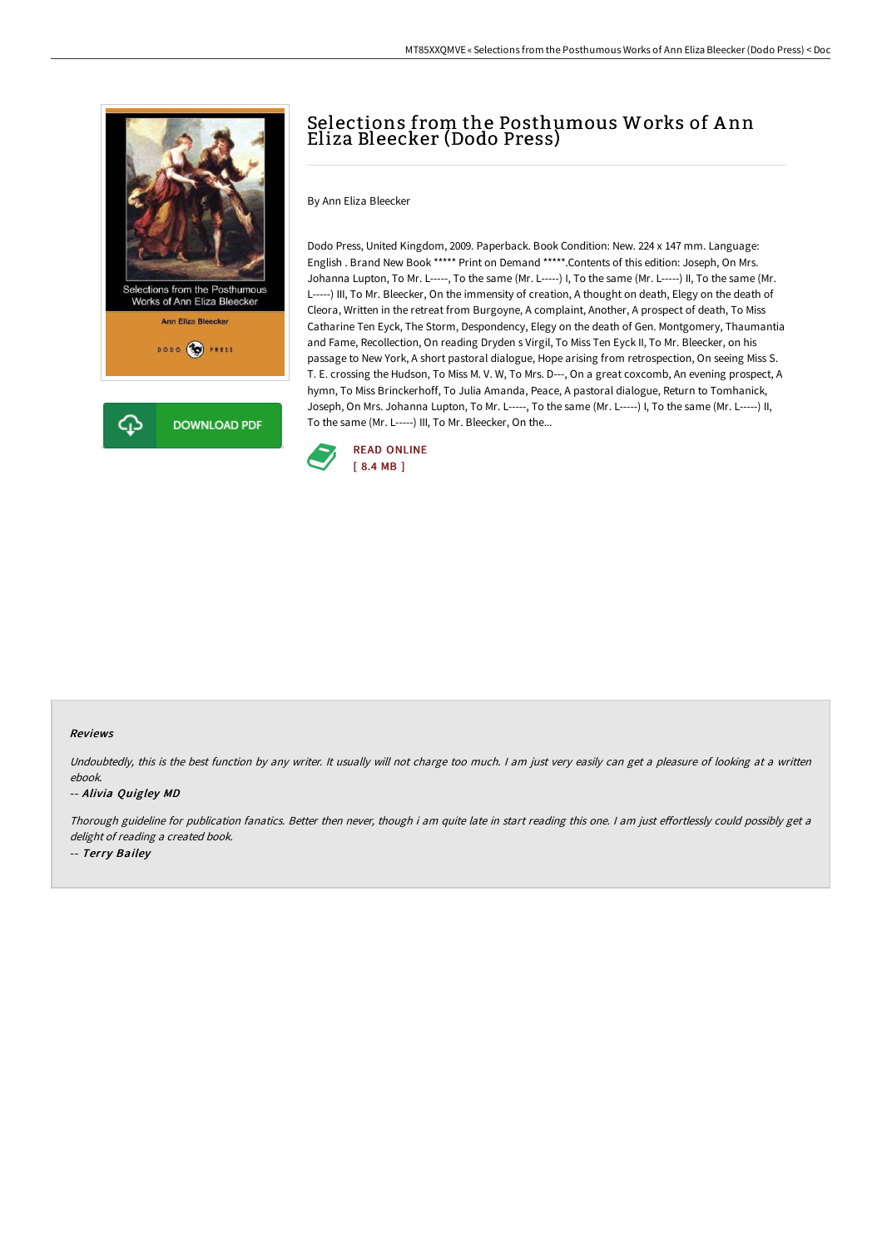

# Selections from the Posthumous Works of A nn Eliza Bleecker (Dodo Press)

By Ann Eliza Bleecker

Dodo Press, United Kingdom, 2009. Paperback. Book Condition: New. 224 x 147 mm. Language: English . Brand New Book \*\*\*\*\* Print on Demand \*\*\*\*\*.Contents of this edition: Joseph, On Mrs. Johanna Lupton, To Mr. L-----, To the same (Mr. L-----) I, To the same (Mr. L-----) II, To the same (Mr. L-----) III, To Mr. Bleecker, On the immensity of creation, A thought on death, Elegy on the death of Cleora, Written in the retreat from Burgoyne, A complaint, Another, A prospect of death, To Miss Catharine Ten Eyck, The Storm, Despondency, Elegy on the death of Gen. Montgomery, Thaumantia and Fame, Recollection, On reading Dryden s Virgil, To Miss Ten Eyck II, To Mr. Bleecker, on his passage to New York, A short pastoral dialogue, Hope arising from retrospection, On seeing Miss S. T. E. crossing the Hudson, To Miss M. V. W, To Mrs. D---, On a great coxcomb, An evening prospect, A hymn, To Miss Brinckerhoff, To Julia Amanda, Peace, A pastoral dialogue, Return to Tomhanick, Joseph, On Mrs. Johanna Lupton, To Mr. L-----, To the same (Mr. L-----) I, To the same (Mr. L-----) II, To the same (Mr. L-----) III, To Mr. Bleecker, On the...



#### Reviews

Undoubtedly, this is the best function by any writer. It usually will not charge too much. I am just very easily can get a pleasure of looking at a written ebook.

### -- Alivia Quigley MD

Thorough guideline for publication fanatics. Better then never, though i am quite late in start reading this one. I am just effortlessly could possibly get a delight of reading <sup>a</sup> created book. -- Terry Bailey